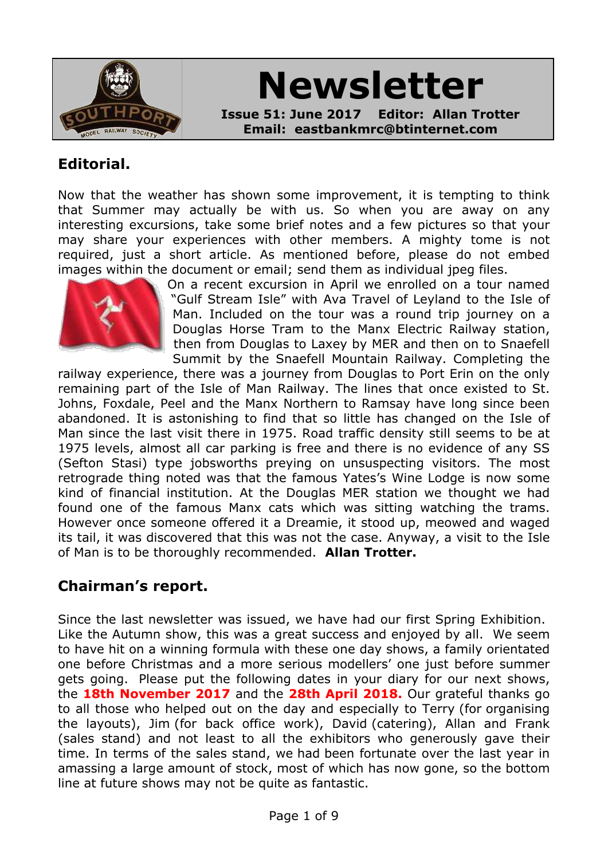

# **Newsletter**

**Issue 51: June 2017 Editor: Allan Trotter Email: eastbankmrc@btinternet.com**

#### **Editorial.**

Now that the weather has shown some improvement, it is tempting to think that Summer may actually be with us. So when you are away on any interesting excursions, take some brief notes and a few pictures so that your may share your experiences with other members. A mighty tome is not required, just a short article. As mentioned before, please do not embed images within the document or email; send them as individual jpeg files.



On a recent excursion in April we enrolled on a tour named "Gulf Stream Isle" with Ava Travel of Leyland to the Isle of Man. Included on the tour was a round trip journey on a Douglas Horse Tram to the Manx Electric Railway station, then from Douglas to Laxey by MER and then on to Snaefell Summit by the Snaefell Mountain Railway. Completing the

railway experience, there was a journey from Douglas to Port Erin on the only remaining part of the Isle of Man Railway. The lines that once existed to St. Johns, Foxdale, Peel and the Manx Northern to Ramsay have long since been abandoned. It is astonishing to find that so little has changed on the Isle of Man since the last visit there in 1975. Road traffic density still seems to be at 1975 levels, almost all car parking is free and there is no evidence of any SS (Sefton Stasi) type jobsworths preying on unsuspecting visitors. The most retrograde thing noted was that the famous Yates's Wine Lodge is now some kind of financial institution. At the Douglas MER station we thought we had found one of the famous Manx cats which was sitting watching the trams. However once someone offered it a Dreamie, it stood up, meowed and waged its tail, it was discovered that this was not the case. Anyway, a visit to the Isle of Man is to be thoroughly recommended. **Allan Trotter.**

# **Chairman's report.**

Since the last newsletter was issued, we have had our first Spring Exhibition. Like the Autumn show, this was a great success and enjoyed by all. We seem to have hit on a winning formula with these one day shows, a family orientated one before Christmas and a more serious modellers' one just before summer gets going. Please put the following dates in your diary for our next shows, the **18th November 2017** and the **28th April 2018.** Our grateful thanks go to all those who helped out on the day and especially to Terry (for organising the layouts), Jim (for back office work), David (catering), Allan and Frank (sales stand) and not least to all the exhibitors who generously gave their time. In terms of the sales stand, we had been fortunate over the last year in amassing a large amount of stock, most of which has now gone, so the bottom line at future shows may not be quite as fantastic.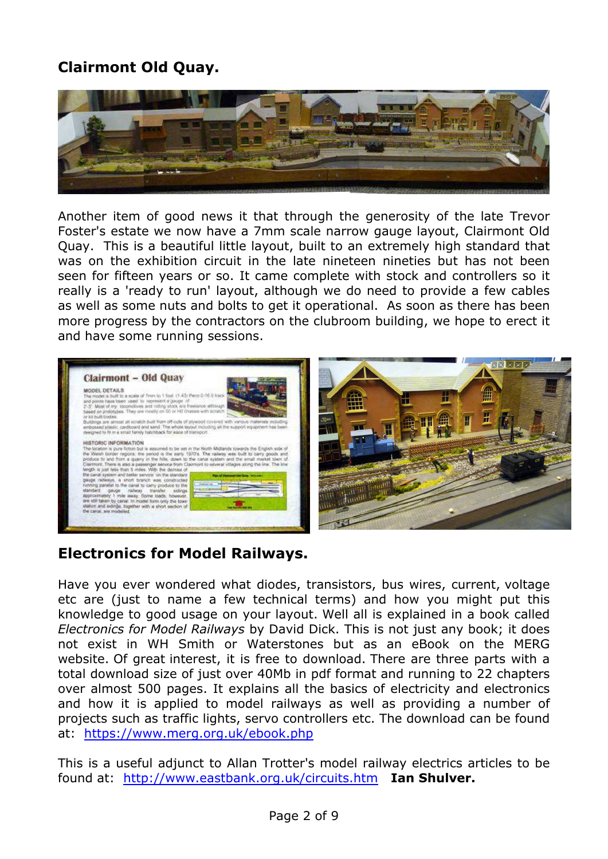# **Clairmont Old Quay.**



Another item of good news it that through the generosity of the late Trevor Foster's estate we now have a 7mm scale narrow gauge layout, Clairmont Old Quay. This is a beautiful little layout, built to an extremely high standard that was on the exhibition circuit in the late nineteen nineties but has not been seen for fifteen years or so. It came complete with stock and controllers so it really is a 'ready to run' layout, although we do need to provide a few cables as well as some nuts and bolts to get it operational. As soon as there has been more progress by the contractors on the clubroom building, we hope to erect it and have some running sessions.



# **Electronics for Model Railways.**

Have you ever wondered what diodes, transistors, bus wires, current, voltage etc are (just to name a few technical terms) and how you might put this knowledge to good usage on your layout. Well all is explained in a book called *Electronics for Model Railways* by David Dick. This is not just any book; it does not exist in WH Smith or Waterstones but as an eBook on the MERG website. Of great interest, it is free to download. There are three parts with a total download size of just over 40Mb in pdf format and running to 22 chapters over almost 500 pages. It explains all the basics of electricity and electronics and how it is applied to model railways as well as providing a number of projects such as traffic lights, servo controllers etc. The download can be found at: <https://www.merg.org.uk/ebook.php>

This is a useful adjunct to Allan Trotter's model railway electrics articles to be found at: <http://www.eastbank.org.uk/circuits.htm> **Ian Shulver.**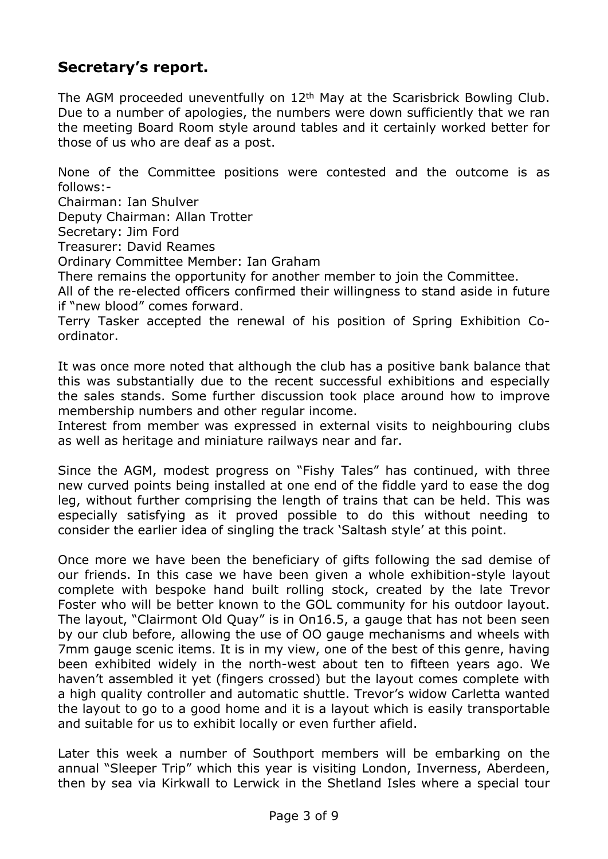# **Secretary's report.**

The AGM proceeded uneventfully on 12<sup>th</sup> May at the Scarisbrick Bowling Club. Due to a number of apologies, the numbers were down sufficiently that we ran the meeting Board Room style around tables and it certainly worked better for those of us who are deaf as a post.

None of the Committee positions were contested and the outcome is as follows:-

Chairman: Ian Shulver

Deputy Chairman: Allan Trotter

Secretary: Jim Ford

Treasurer: David Reames

Ordinary Committee Member: Ian Graham

There remains the opportunity for another member to join the Committee.

All of the re-elected officers confirmed their willingness to stand aside in future if "new blood" comes forward.

Terry Tasker accepted the renewal of his position of Spring Exhibition Coordinator.

It was once more noted that although the club has a positive bank balance that this was substantially due to the recent successful exhibitions and especially the sales stands. Some further discussion took place around how to improve membership numbers and other regular income.

Interest from member was expressed in external visits to neighbouring clubs as well as heritage and miniature railways near and far.

Since the AGM, modest progress on "Fishy Tales" has continued, with three new curved points being installed at one end of the fiddle yard to ease the dog leg, without further comprising the length of trains that can be held. This was especially satisfying as it proved possible to do this without needing to consider the earlier idea of singling the track 'Saltash style' at this point.

Once more we have been the beneficiary of gifts following the sad demise of our friends. In this case we have been given a whole exhibition-style layout complete with bespoke hand built rolling stock, created by the late Trevor Foster who will be better known to the GOL community for his outdoor layout. The layout, "Clairmont Old Quay" is in On16.5, a gauge that has not been seen by our club before, allowing the use of OO gauge mechanisms and wheels with 7mm gauge scenic items. It is in my view, one of the best of this genre, having been exhibited widely in the north-west about ten to fifteen years ago. We haven't assembled it yet (fingers crossed) but the layout comes complete with a high quality controller and automatic shuttle. Trevor's widow Carletta wanted the layout to go to a good home and it is a layout which is easily transportable and suitable for us to exhibit locally or even further afield.

Later this week a number of Southport members will be embarking on the annual "Sleeper Trip" which this year is visiting London, Inverness, Aberdeen, then by sea via Kirkwall to Lerwick in the Shetland Isles where a special tour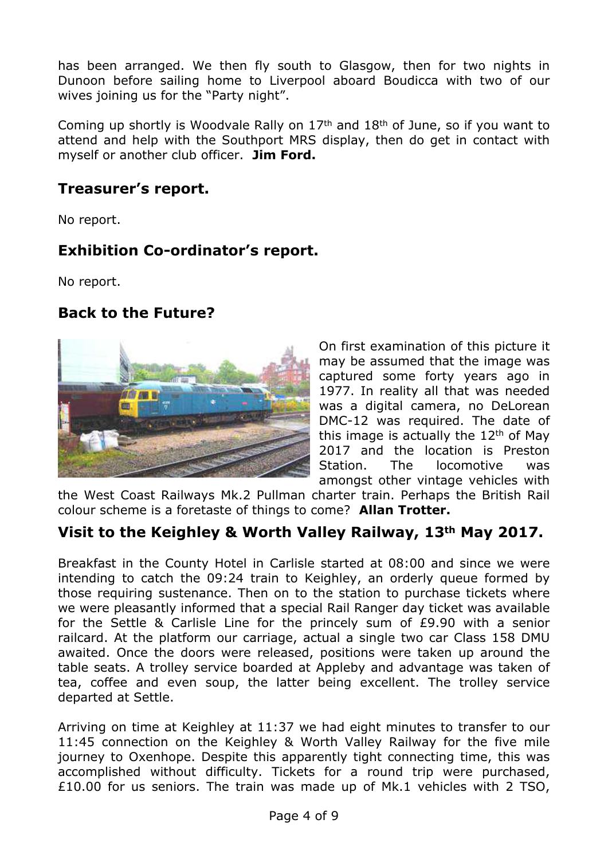has been arranged. We then fly south to Glasgow, then for two nights in Dunoon before sailing home to Liverpool aboard Boudicca with two of our wives joining us for the "Party night".

Coming up shortly is Woodvale Rally on 17th and 18th of June, so if you want to attend and help with the Southport MRS display, then do get in contact with myself or another club officer. **Jim Ford.**

#### **Treasurer's report.**

No report.

#### **Exhibition Co-ordinator's report.**

No report.

#### **Back to the Future?**



On first examination of this picture it may be assumed that the image was captured some forty years ago in 1977. In reality all that was needed was a digital camera, no DeLorean DMC-12 was required. The date of this image is actually the  $12<sup>th</sup>$  of May 2017 and the location is Preston Station. The locomotive was amongst other vintage vehicles with

the West Coast Railways Mk.2 Pullman charter train. Perhaps the British Rail colour scheme is a foretaste of things to come? **Allan Trotter.**

# **Visit to the Keighley & Worth Valley Railway, 13th May 2017.**

Breakfast in the County Hotel in Carlisle started at 08:00 and since we were intending to catch the 09:24 train to Keighley, an orderly queue formed by those requiring sustenance. Then on to the station to purchase tickets where we were pleasantly informed that a special Rail Ranger day ticket was available for the Settle & Carlisle Line for the princely sum of £9.90 with a senior railcard. At the platform our carriage, actual a single two car Class 158 DMU awaited. Once the doors were released, positions were taken up around the table seats. A trolley service boarded at Appleby and advantage was taken of tea, coffee and even soup, the latter being excellent. The trolley service departed at Settle.

Arriving on time at Keighley at 11:37 we had eight minutes to transfer to our 11:45 connection on the Keighley & Worth Valley Railway for the five mile journey to Oxenhope. Despite this apparently tight connecting time, this was accomplished without difficulty. Tickets for a round trip were purchased, £10.00 for us seniors. The train was made up of Mk.1 vehicles with 2 TSO,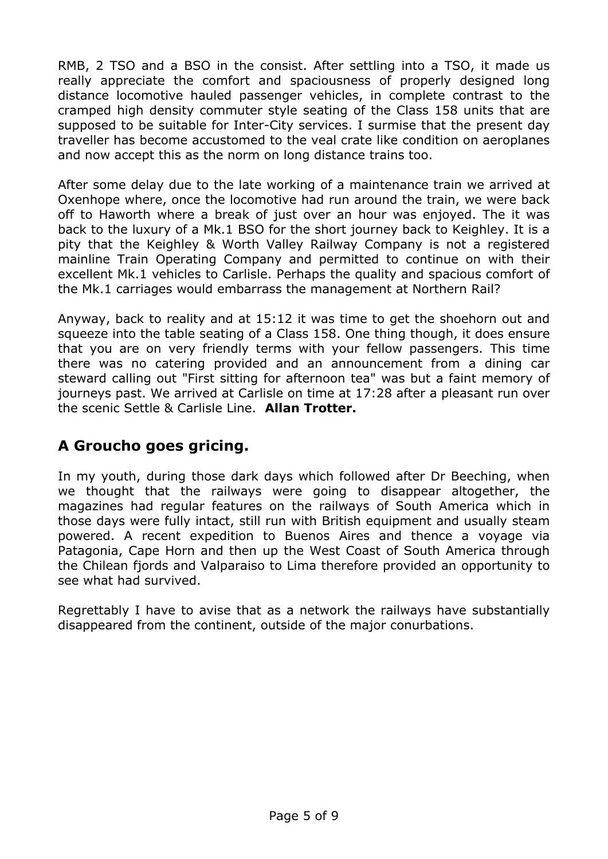RMB, 2 TSO and a BSO in the consist. After settling into a TSO, it made us really appreciate the comfort and spaciousness of properly designed long distance locomotive hauled passenger vehicles, in complete contrast to the cramped high density commuter style seating of the Class 158 units that are supposed to be suitable for Inter-City services. I surmise that the present day traveller has become accustomed to the veal crate like condition on aeroplanes and now accept this as the norm on long distance trains too.

After some delay due to the late working of a maintenance train we arrived at Oxenhope where, once the locomotive had run around the train, we were back off to Haworth where a break of just over an hour was enjoyed. The it was back to the luxury of a Mk.1 BSO for the short journey back to Keighley. It is a pity that the Keighley & Worth Valley Railway Company is not a registered mainline Train Operating Company and permitted to continue on with their excellent Mk.1 vehicles to Carlisle. Perhaps the quality and spacious comfort of the Mk.1 carriages would embarrass the management at Northern Rail?

Anyway, back to reality and at 15:12 it was time to get the shoehorn out and squeeze into the table seating of a Class 158. One thing though, it does ensure that you are on very friendly terms with your fellow passengers. This time there was no catering provided and an announcement from a dining car steward calling out "First sitting for afternoon tea" was but a faint memory of journeys past. We arrived at Carlisle on time at 17:28 after a pleasant run over the scenic Settle & Carlisle Line. **Allan Trotter.**

# **A Groucho goes gricing.**

In my youth, during those dark days which followed after Dr Beeching, when we thought that the railways were going to disappear altogether, the magazines had regular features on the railways of South America which in those days were fully intact, still run with British equipment and usually steam powered. A recent expedition to Buenos Aires and thence a voyage via Patagonia, Cape Horn and then up the West Coast of South America through the Chilean fjords and Valparaiso to Lima therefore provided an opportunity to see what had survived.

Regrettably I have to avise that as a network the railways have substantially disappeared from the continent, outside of the major conurbations.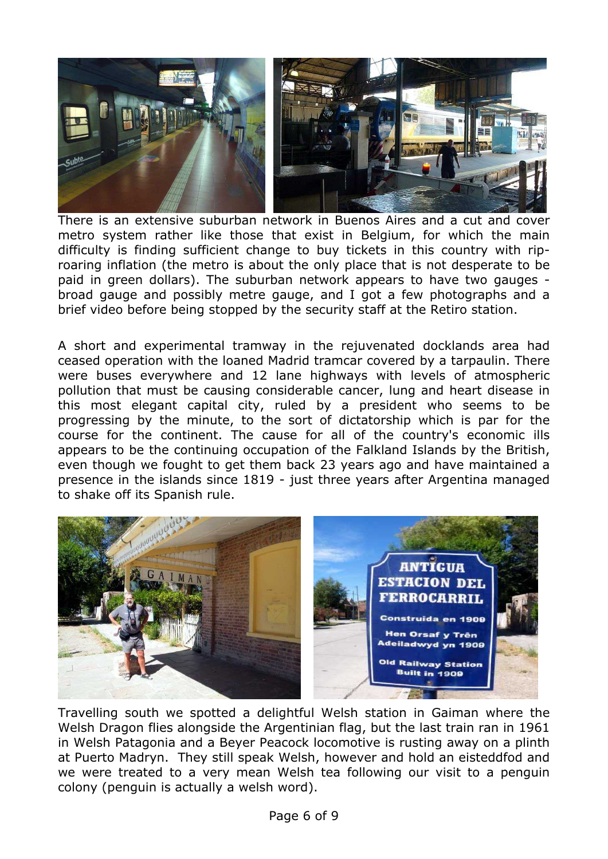

There is an extensive suburban network in Buenos Aires and a cut and cover metro system rather like those that exist in Belgium, for which the main difficulty is finding sufficient change to buy tickets in this country with riproaring inflation (the metro is about the only place that is not desperate to be paid in green dollars). The suburban network appears to have two gauges broad gauge and possibly metre gauge, and I got a few photographs and a brief video before being stopped by the security staff at the Retiro station.

A short and experimental tramway in the rejuvenated docklands area had ceased operation with the loaned Madrid tramcar covered by a tarpaulin. There were buses everywhere and 12 lane highways with levels of atmospheric pollution that must be causing considerable cancer, lung and heart disease in this most elegant capital city, ruled by a president who seems to be progressing by the minute, to the sort of dictatorship which is par for the course for the continent. The cause for all of the country's economic ills appears to be the continuing occupation of the Falkland Islands by the British, even though we fought to get them back 23 years ago and have maintained a presence in the islands since 1819 - just three years after Argentina managed to shake off its Spanish rule.



Travelling south we spotted a delightful Welsh station in Gaiman where the Welsh Dragon flies alongside the Argentinian flag, but the last train ran in 1961 in Welsh Patagonia and a Beyer Peacock locomotive is rusting away on a plinth at Puerto Madryn. They still speak Welsh, however and hold an eisteddfod and we were treated to a very mean Welsh tea following our visit to a penguin colony (penguin is actually a welsh word).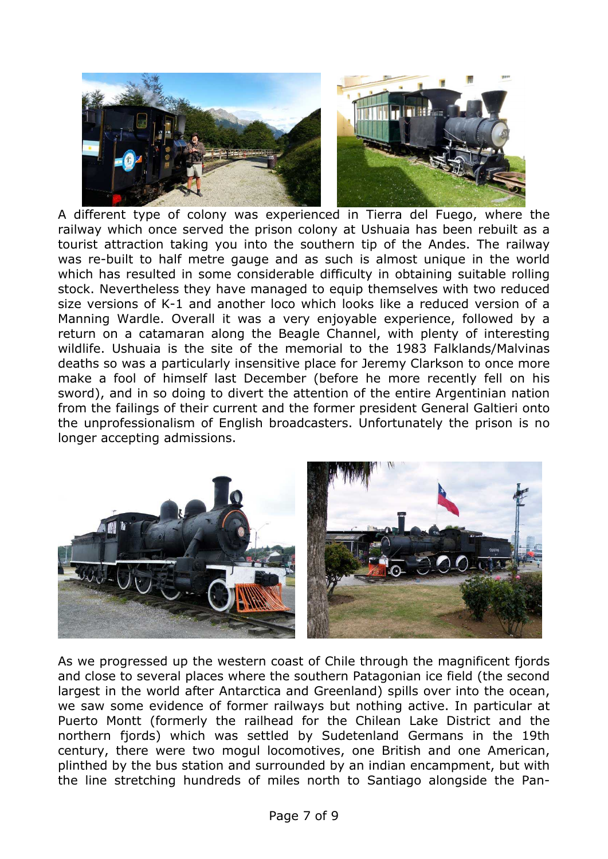

A different type of colony was experienced in Tierra del Fuego, where the railway which once served the prison colony at Ushuaia has been rebuilt as a tourist attraction taking you into the southern tip of the Andes. The railway was re-built to half metre gauge and as such is almost unique in the world which has resulted in some considerable difficulty in obtaining suitable rolling stock. Nevertheless they have managed to equip themselves with two reduced size versions of K-1 and another loco which looks like a reduced version of a Manning Wardle. Overall it was a very enjoyable experience, followed by a return on a catamaran along the Beagle Channel, with plenty of interesting wildlife. Ushuaia is the site of the memorial to the 1983 Falklands/Malvinas deaths so was a particularly insensitive place for Jeremy Clarkson to once more make a fool of himself last December (before he more recently fell on his sword), and in so doing to divert the attention of the entire Argentinian nation from the failings of their current and the former president General Galtieri onto the unprofessionalism of English broadcasters. Unfortunately the prison is no longer accepting admissions.



As we progressed up the western coast of Chile through the magnificent fjords and close to several places where the southern Patagonian ice field (the second largest in the world after Antarctica and Greenland) spills over into the ocean, we saw some evidence of former railways but nothing active. In particular at Puerto Montt (formerly the railhead for the Chilean Lake District and the northern fjords) which was settled by Sudetenland Germans in the 19th century, there were two mogul locomotives, one British and one American, plinthed by the bus station and surrounded by an indian encampment, but with the line stretching hundreds of miles north to Santiago alongside the Pan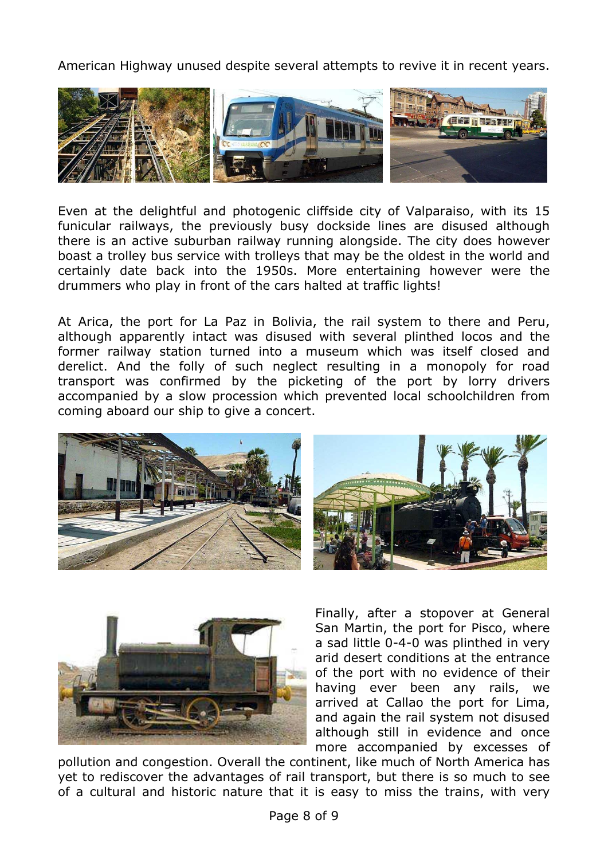American Highway unused despite several attempts to revive it in recent years.



Even at the delightful and photogenic cliffside city of Valparaiso, with its 15 funicular railways, the previously busy dockside lines are disused although there is an active suburban railway running alongside. The city does however boast a trolley bus service with trolleys that may be the oldest in the world and certainly date back into the 1950s. More entertaining however were the drummers who play in front of the cars halted at traffic lights!

At Arica, the port for La Paz in Bolivia, the rail system to there and Peru, although apparently intact was disused with several plinthed locos and the former railway station turned into a museum which was itself closed and derelict. And the folly of such neglect resulting in a monopoly for road transport was confirmed by the picketing of the port by lorry drivers accompanied by a slow procession which prevented local schoolchildren from coming aboard our ship to give a concert.





Finally, after a stopover at General San Martin, the port for Pisco, where a sad little 0-4-0 was plinthed in very arid desert conditions at the entrance of the port with no evidence of their having ever been any rails, we arrived at Callao the port for Lima, and again the rail system not disused although still in evidence and once more accompanied by excesses of

pollution and congestion. Overall the continent, like much of North America has yet to rediscover the advantages of rail transport, but there is so much to see of a cultural and historic nature that it is easy to miss the trains, with very